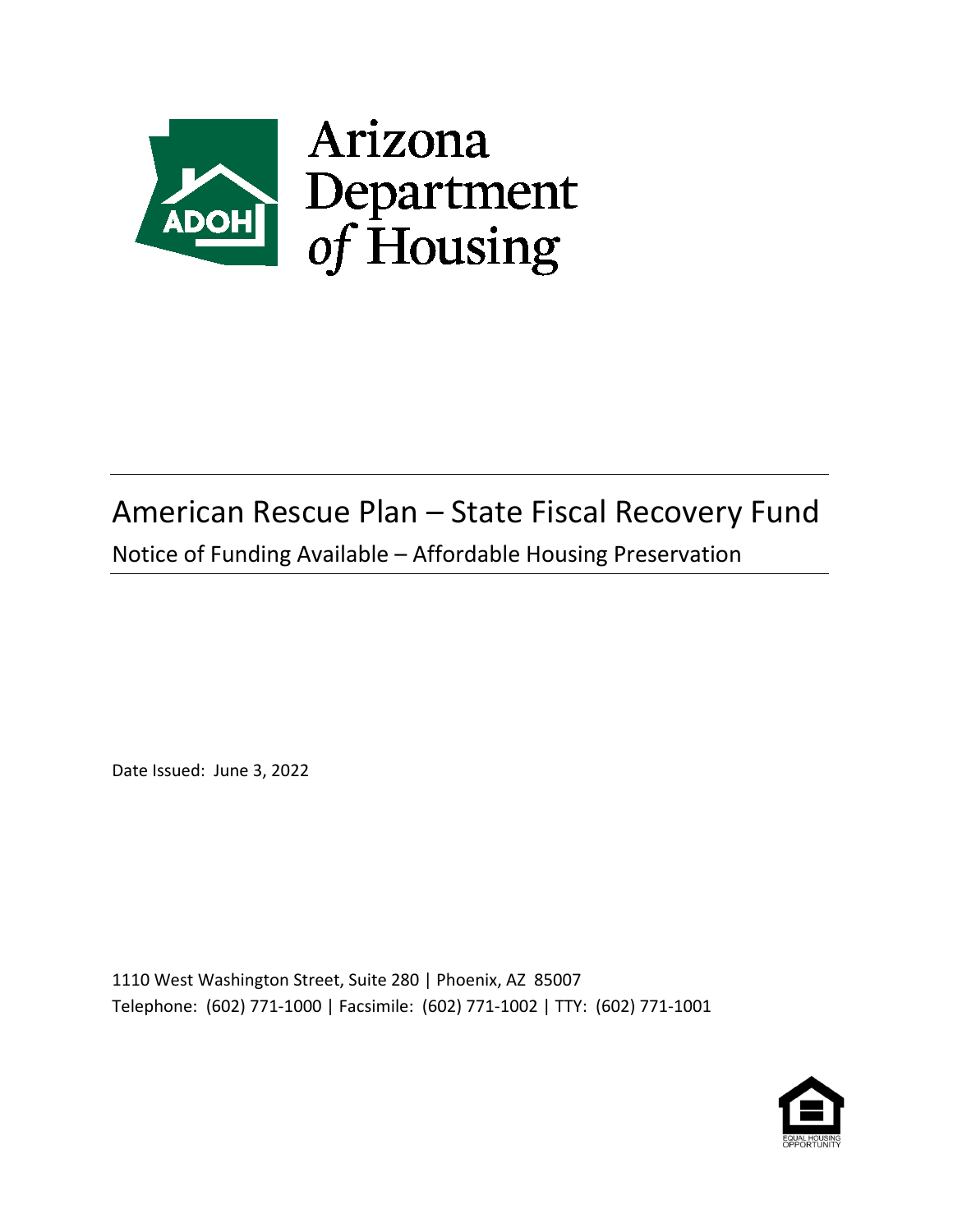

# American Rescue Plan – State Fiscal Recovery Fund

Notice of Funding Available – Affordable Housing Preservation

Date Issued: June 3, 2022

1110 West Washington Street, Suite 280 | Phoenix, AZ 85007 Telephone: (602) 771-1000 | Facsimile: (602) 771-1002 | TTY: (602) 771-1001

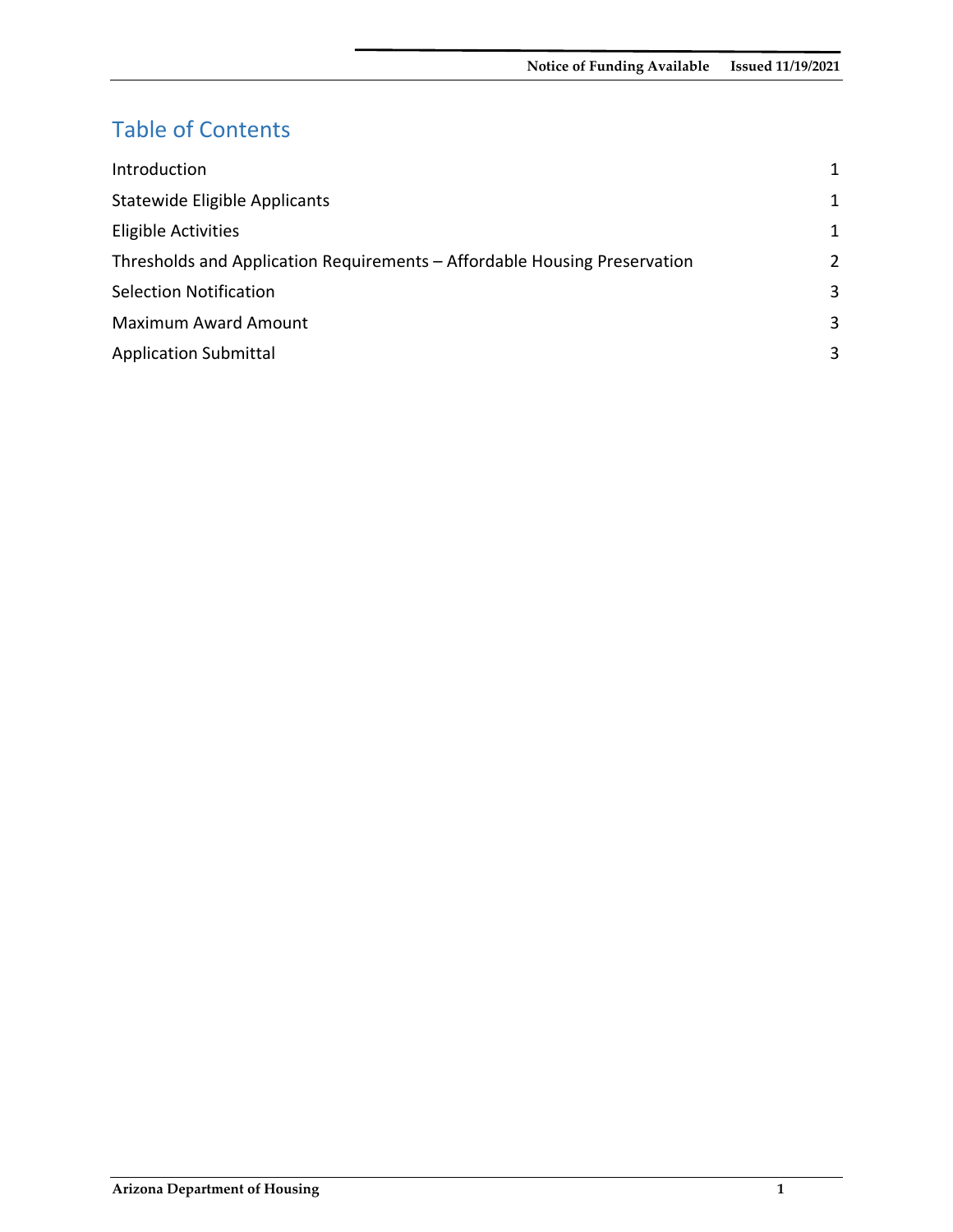# Table of Contents

| Introduction                                                              |              |
|---------------------------------------------------------------------------|--------------|
| Statewide Eligible Applicants                                             | 1            |
| <b>Eligible Activities</b>                                                | $\mathbf{1}$ |
| Thresholds and Application Requirements - Affordable Housing Preservation | 2            |
| <b>Selection Notification</b>                                             | 3            |
| <b>Maximum Award Amount</b>                                               | 3            |
| <b>Application Submittal</b>                                              | 3            |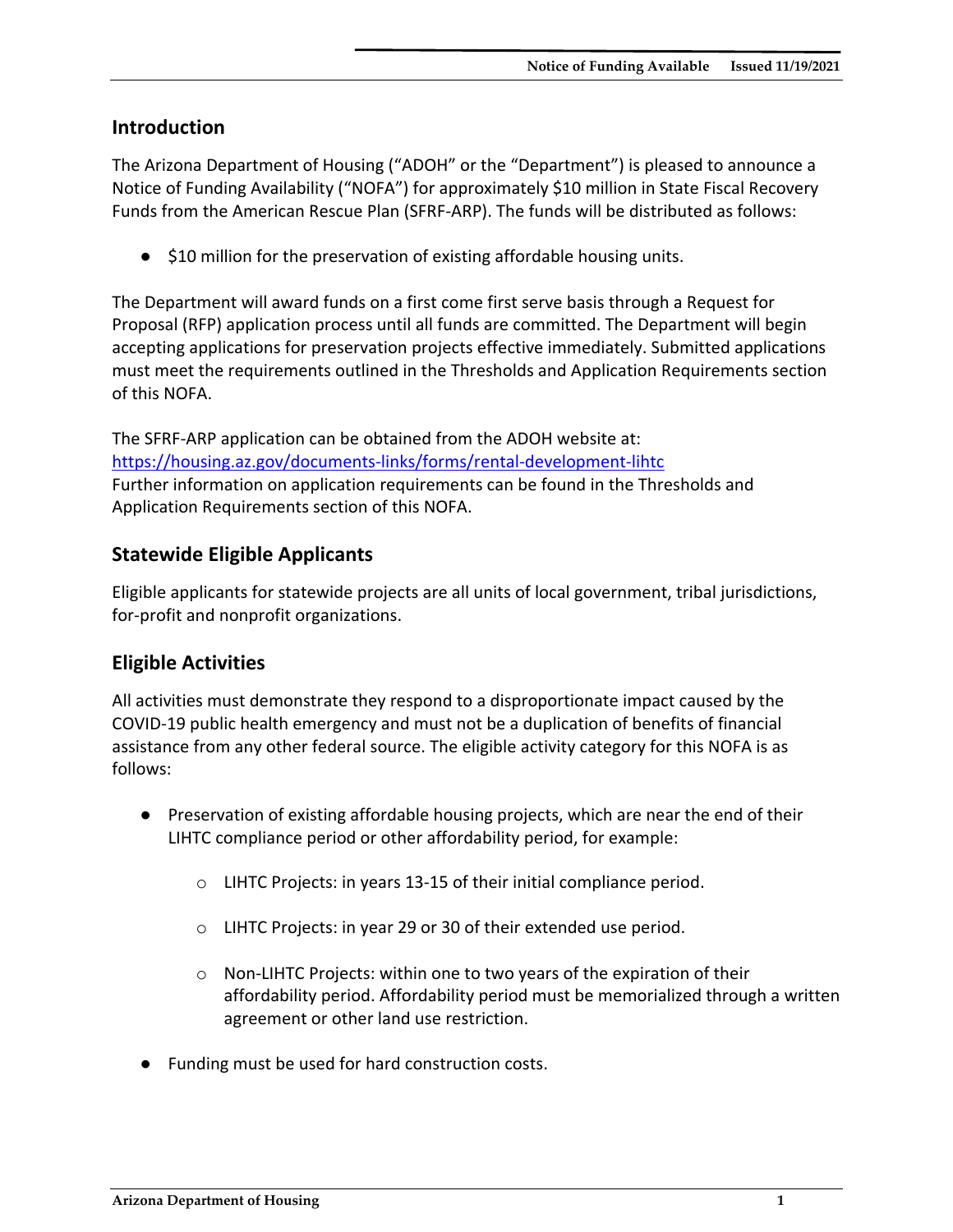#### <span id="page-2-0"></span>**Introduction**

The Arizona Department of Housing ("ADOH" or the "Department") is pleased to announce a Notice of Funding Availability ("NOFA") for approximately \$10 million in State Fiscal Recovery Funds from the American Rescue Plan (SFRF-ARP). The funds will be distributed as follows:

● \$10 million for the preservation of existing affordable housing units.

The Department will award funds on a first come first serve basis through a Request for Proposal (RFP) application process until all funds are committed. The Department will begin accepting applications for preservation projects effective immediately. Submitted applications must meet the requirements outlined in the Thresholds and Application Requirements section of this NOFA.

The SFRF-ARP application can be obtained from the ADOH website at: <https://housing.az.gov/documents-links/forms/rental-development-lihtc> Further information on application requirements can be found in the Thresholds and Application Requirements section of this NOFA.

## <span id="page-2-1"></span>**Statewide Eligible Applicants**

Eligible applicants for statewide projects are all units of local government, tribal jurisdictions, for-profit and nonprofit organizations.

### <span id="page-2-2"></span>**Eligible Activities**

All activities must demonstrate they respond to a disproportionate impact caused by the COVID-19 public health emergency and must not be a duplication of benefits of financial assistance from any other federal source. The eligible activity category for this NOFA is as follows:

- Preservation of existing affordable housing projects, which are near the end of their LIHTC compliance period or other affordability period, for example:
	- o LIHTC Projects: in years 13-15 of their initial compliance period.
	- o LIHTC Projects: in year 29 or 30 of their extended use period.
	- o Non-LIHTC Projects: within one to two years of the expiration of their affordability period. Affordability period must be memorialized through a written agreement or other land use restriction.
- Funding must be used for hard construction costs.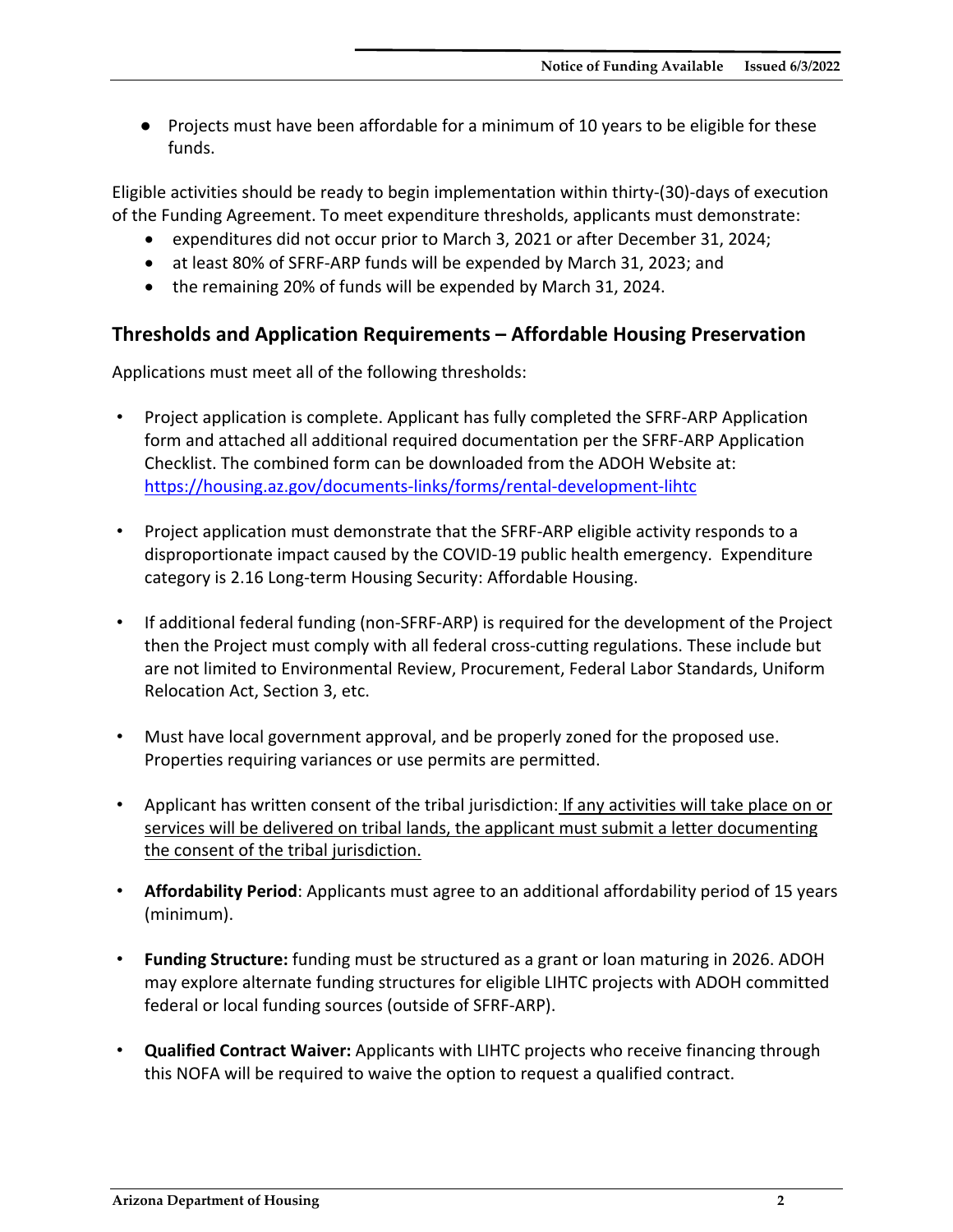● Projects must have been affordable for a minimum of 10 years to be eligible for these funds.

Eligible activities should be ready to begin implementation within thirty-(30)-days of execution of the Funding Agreement. To meet expenditure thresholds, applicants must demonstrate:

- expenditures did not occur prior to March 3, 2021 or after December 31, 2024;
- at least 80% of SFRF-ARP funds will be expended by March 31, 2023; and
- the remaining 20% of funds will be expended by March 31, 2024.

#### <span id="page-3-0"></span>**Thresholds and Application Requirements – Affordable Housing Preservation**

Applications must meet all of the following thresholds:

- Project application is complete. Applicant has fully completed the SFRF-ARP Application form and attached all additional required documentation per the SFRF-ARP Application Checklist. The combined form can be downloaded from the ADOH Website at: <https://housing.az.gov/documents-links/forms/rental-development-lihtc>
- Project application must demonstrate that the SFRF-ARP eligible activity responds to a disproportionate impact caused by the COVID-19 public health emergency. Expenditure category is 2.16 Long-term Housing Security: Affordable Housing.
- If additional federal funding (non-SFRF-ARP) is required for the development of the Project then the Project must comply with all federal cross-cutting regulations. These include but are not limited to Environmental Review, Procurement, Federal Labor Standards, Uniform Relocation Act, Section 3, etc.
- Must have local government approval, and be properly zoned for the proposed use. Properties requiring variances or use permits are permitted.
- Applicant has written consent of the tribal jurisdiction: If any activities will take place on or services will be delivered on tribal lands, the applicant must submit a letter documenting the consent of the tribal jurisdiction.
- **Affordability Period**: Applicants must agree to an additional affordability period of 15 years (minimum).
- **Funding Structure:** funding must be structured as a grant or loan maturing in 2026. ADOH may explore alternate funding structures for eligible LIHTC projects with ADOH committed federal or local funding sources (outside of SFRF-ARP).
- **Qualified Contract Waiver:** Applicants with LIHTC projects who receive financing through this NOFA will be required to waive the option to request a qualified contract.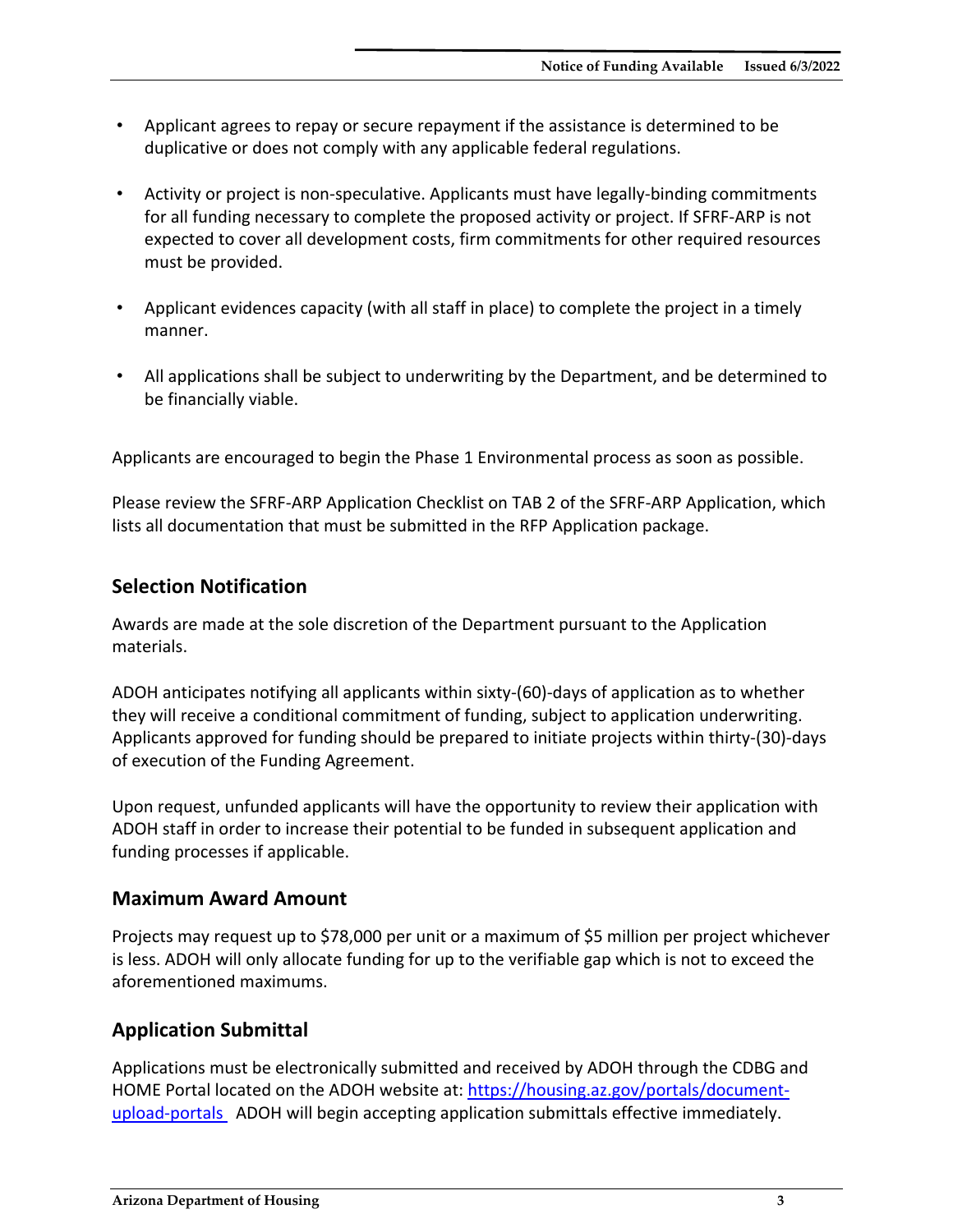- Applicant agrees to repay or secure repayment if the assistance is determined to be duplicative or does not comply with any applicable federal regulations.
- Activity or project is non-speculative. Applicants must have legally-binding commitments for all funding necessary to complete the proposed activity or project. If SFRF-ARP is not expected to cover all development costs, firm commitments for other required resources must be provided.
- Applicant evidences capacity (with all staff in place) to complete the project in a timely manner.
- All applications shall be subject to underwriting by the Department, and be determined to be financially viable.

Applicants are encouraged to begin the Phase 1 Environmental process as soon as possible.

Please review the SFRF-ARP Application Checklist on TAB 2 of the SFRF-ARP Application, which lists all documentation that must be submitted in the RFP Application package.

### <span id="page-4-0"></span>**Selection Notification**

Awards are made at the sole discretion of the Department pursuant to the Application materials.

ADOH anticipates notifying all applicants within sixty-(60)-days of application as to whether they will receive a conditional commitment of funding, subject to application underwriting. Applicants approved for funding should be prepared to initiate projects within thirty-(30)-days of execution of the Funding Agreement.

Upon request, unfunded applicants will have the opportunity to review their application with ADOH staff in order to increase their potential to be funded in subsequent application and funding processes if applicable.

#### <span id="page-4-1"></span>**Maximum Award Amount**

Projects may request up to \$78,000 per unit or a maximum of \$5 million per project whichever is less. ADOH will only allocate funding for up to the verifiable gap which is not to exceed the aforementioned maximums.

### <span id="page-4-2"></span>**Application Submittal**

Applications must be electronically submitted and received by ADOH through the CDBG and HOME Portal located on the ADOH website at: [https://housing.az.gov/portals/document](https://housing.az.gov/portals/document-upload-portals)[upload-portals](https://housing.az.gov/portals/document-upload-portals) ADOH will begin accepting application submittals effective immediately.